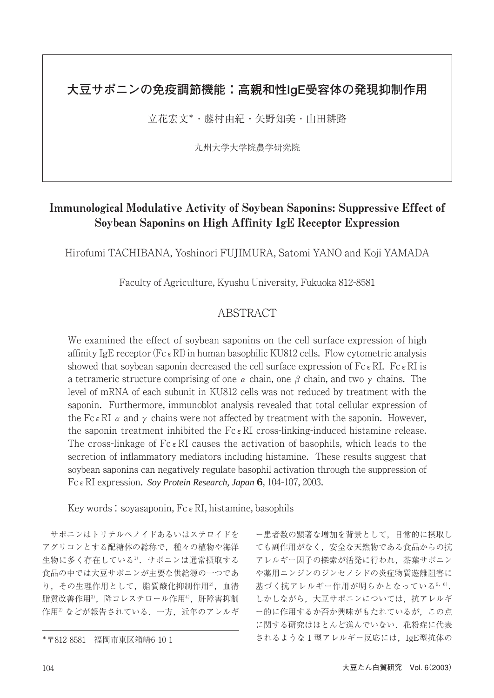# **大豆サポニンの免疫調節機能:高親和性IgE受容体の発現抑制作用**

立花宏文\*・藤村由紀・矢野知美・山田耕路

九州大学大学院農学研究院

# Immunological Modulative Activity of Soybean Saponins: Suppressive Effect of Soybean Saponins on High Affinity IgE Receptor Expression

Hirofumi TACHIBANA, Yoshinori FUJIMURA, Satomi YANO and Koji YAMADA

Faculty of Agriculture, Kyushu University, Fukuoka 812-8581

## ABSTRACT

We examined the effect of soybean saponins on the cell surface expression of high affinity IgE receptor ( $Fc \in RI$ ) in human basophilic KU812 cells. Flow cytometric analysis showed that soybean saponin decreased the cell surface expression of  $Fc \in RI$ . Fc  $\epsilon RI$  is a tetrameric structure comprising of one  $\alpha$  chain, one  $\beta$  chain, and two  $\gamma$  chains. The level of mRNA of each subunit in KU812 cells was not reduced by treatment with the saponin. Furthermore, immunoblot analysis revealed that total cellular expression of the Fc  $\epsilon$  RI  $\alpha$  and  $\gamma$  chains were not affected by treatment with the saponin. However, the saponin treatment inhibited the  $Fc \in RI$  cross-linking-induced histamine release. The cross-linkage of  $Fc \in RI$  causes the activation of basophils, which leads to the secretion of inflammatory mediators including histamine. These results suggest that soybean saponins can negatively regulate basophil activation through the suppression of FcεRI expression. *Soy Protein Research, Japan* **6**, 104-107, 2003.

Key words: soyasaponin,  $Fc \in RI$ , histamine, basophils

サポニンはトリテルペノイドあるいはステロイドを アグリコンとする配糖体の総称で,種々の植物や海洋 生物に多く存在している1). サポニンは通常摂取する 食品の中では大豆サポニンが主要な供給源の一つであ り、その生理作用として、脂質酸化抑制作用2), 血清 脂質改善作用3,降コレステロール作用4),肝障害抑制 作用2)などが報告されている. 一方. 近年のアレルギ

ー患者数の顕著な増加を背景として,日常的に摂取し ても副作用がなく,安全な天然物である食品からの抗 アレルギー因子の探索が活発に行われ,茶葉サポニン や薬用ニンジンのジンセノシドの炎症物質遊離阻害に 基づく抗アレルギー作用が明らかとなっている5,6). しかしながら,大豆サポニンについては,抗アレルギ ー的に作用するか否か興味がもたれているが,この点 に関する研究はほとんど進んでいない. 花粉症に代表 されるような1型アレルギー反応には,IgE型抗体の

<sup>\*〒</sup>812-8581 福岡市東区箱崎6-10-1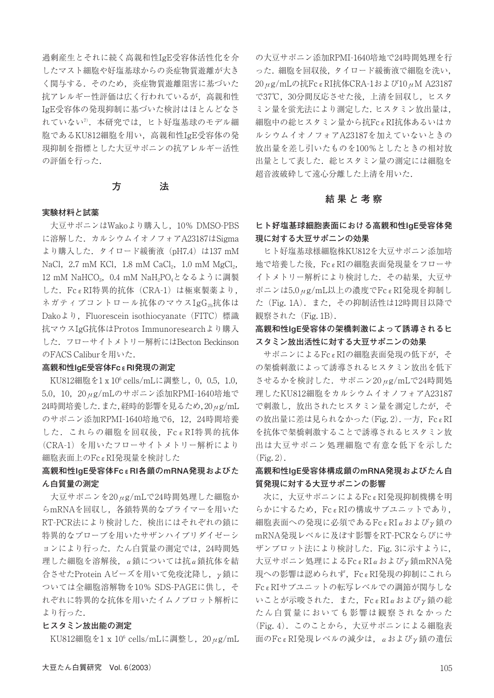過剰産生とそれに続く高親和性IgE受容体活性化を介 したマスト細胞や好塩基球からの炎症物質遊離が大き く関与する.そのため,炎症物質遊離阻害に基づいた 抗アレルギー性評価は広く行われているが,高親和性 IgE受容体の発現抑制に基づいた検討はほとんどなさ れていない<sup>7</sup>. 本研究では、ヒト好塩基球のモデル細 胞であるKU812細胞を用い,高親和性IgE受容体の発 現抑制を指標とした大豆サポニンの抗アレルギー活性 の評価を行った.

#### **方 法**

#### **実験材料と試薬**

大豆サポニンはWakoより購入し,10% DMSO-PBS に溶解した.カルシウムイオノフォアA23187はSigma より購入した.タイロード緩衝液(pH7.4)は137 mM NaCl,  $2.7 \text{ mM KCl}$ ,  $1.8 \text{ mM CaCl}_2$ ,  $1.0 \text{ mM MgCl}_2$ , 12 mM NaHCO<sub>3</sub>, 0.4 mM NaH<sub>2</sub>PO<sub>4</sub>となるように調製 した.FcεRI特異的抗体(CRA-1)は極東製薬より, ネガティブコントロール抗体のマウスIgG2b抗体は Dakoより, Fluorescein isothiocyanate (FITC) 標識 抗マウスIgG抗体はProtos Immunoresearchより購入 した.フローサイトメトリー解析にはBecton Beckinson のFACS Caliburを用いた.

#### **高親和性IgE受容体FcεRI発現の測定**

KU812細胞を1 x 106 cells/mLに調整し,0,0.5,1.0, 5.0,10,20μg/mLのサポニン添加RPMI-1640培地で 24時間培養した.また,経時的影響を見るため,20μg/mL のサポニン添加RPMI-1640培地で6, 12, 24時間培養 した. これらの細胞を回収後, FcεRI特異的抗体 (CRA-1)を用いたフローサイトメトリー解析により 細胞表面上のFcεRI発現量を検討した

## **高親和性IgE受容体FcεRI各鎖のmRNA発現およびた ん白質量の測定**

大豆サポニンを20μg/mLで24時間処理した細胞か らmRNAを回収し,各鎖特異的なプライマーを用いた RT-PCR法により検討した.検出にはそれぞれの鎖に 特異的なプローブを用いたサザンハイブリダイゼーシ ョンにより行った. たん白質量の測定では、24時間処 理した細胞を溶解後,α鎖については抗α鎖抗体を結 合させたProtein Aビーズを用いて免疫沈降し,γ鎖に ついては全細胞溶解物を10% SDS-PAGEに供し,そ れぞれに特異的な抗体を用いたイムノブロット解析に より行った.

#### **ヒスタミン放出能の測定**

KU812細胞を1 x 106 cells/mLに調整し,20μg/mL

の大豆サポニン添加RPMI-1640培地で24時間処理を行 った.細胞を回収後,タイロード緩衝液で細胞を洗い, 20μg/mLの抗FcεRI抗体CRA-1および10μM A23187 で37℃,30分間反応させた後,上清を回収し,ヒスタ ミン量を蛍光法により測定した.ヒスタミン放出量は, 細胞中の総ヒスタミン量から抗FcεRI抗体あるいはカ ルシウムイオノフォアA23187を加えていないときの 放出量を差し引いたものを100%としたときの相対放 出量として表した.総ヒスタミン量の測定には細胞を 超音波破砕して遠心分離した上清を用いた.

#### **結果と考察**

### **ヒト好塩基球細胞表面における高親和性IgE受容体発 現に対する大豆サポニンの効果**

ヒト好塩基球様細胞株KU812を大豆サポニン添加培 地で培養した後,FcεRIの細胞表面発現量をフローサ イトメトリー解析により検討した.その結果,大豆サ ポニンは5.0μg/mL以上の濃度でFcεRI発現を抑制し た(Fig. 1A).また,その抑制活性は12時間目以降で 観察された (Fig. 1B).

## **高親和性IgE受容体の架橋刺激によって誘導されるヒ スタミン放出活性に対する大豆サポニンの効果**

サポニンによるFcεRIの細胞表面発現の低下が,そ の架橋刺激によって誘導されるヒスタミン放出を低下 させるかを検討した.サポニン20μg/mLで24時間処 理したKU812細胞をカルシウムイオノフォアA23187 で刺激し、放出されたヒスタミン量を測定したが、そ の放出量に差は見られなかった $(Fig. 2)$ . 一方,  $Fc \in RI$ を抗体で架橋刺激することで誘導されるヒスタミン放 出は大豆サポニン処理細胞で有意な低下を示した  $(Fi\sigma, 2)$ .

## **高親和性IgE受容体構成鎖のmRNA発現およびたん白 質発現に対する大豆サポニンの影響**

次に,大豆サポニンによるFcεRI発現抑制機構を明 らかにするため,FcεRIの構成サブユニットであり, 細胞表面への発現に必須であるFcεRIαおよびγ鎖の mRNA発現レベルに及ぼす影響をRT-PCRならびにサ ザンブロット法により検討した.Fig. 3に示すように, 大豆サポニン処理によるFcεRIαおよびγ鎖mRNA発 現への影響は認められず,FcεRI発現の抑制にこれら FcεRIサブユニットの転写レベルでの調節が関与しな いことが示唆された.また,FcεRIαおよびγ鎖の総 たん白質量においても影響は観察されなかった (Fig. 4).このことから,大豆サポニンによる細胞表 面のFcεRI発現レベルの減少は,αおよびγ鎖の遺伝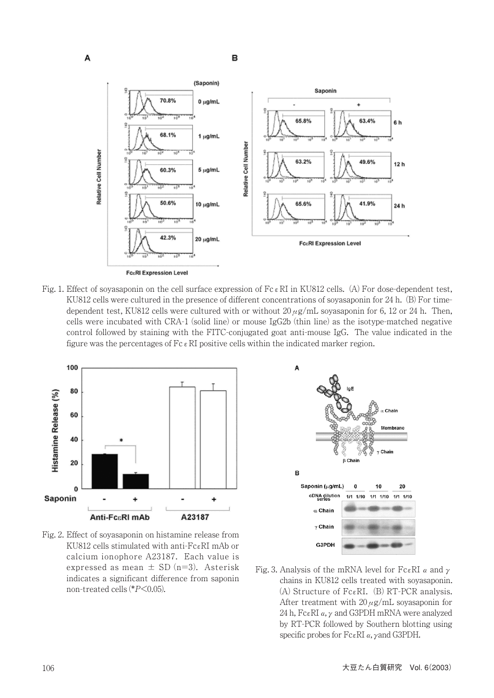

Fig. 1. Effect of soyasaponin on the cell surface expression of Fc  $\epsilon$  RI in KU812 cells. (A) For dose-dependent test, KU812 cells were cultured in the presence of different concentrations of soyasaponin for 24 h. (B) For timedependent test, KU812 cells were cultured with or without  $20 \mu g/mL$  soyasaponin for 6, 12 or 24 h. Then, cells were incubated with CRA-1 (solid line) or mouse IgG2b (thin line) as the isotype-matched negative control followed by staining with the FITC-conjugated goat anti-mouse IgG. The value indicated in the figure was the percentages of  $Fc \in RI$  positive cells within the indicated marker region.



Fig. 2. Effect of soyasaponin on histamine release from KU812 cells stimulated with anti-FcεRI mAb or calcium ionophore A23187. Each value is expressed as mean  $\pm$  SD (n=3). Asterisk indicates a significant difference from saponin non-treated cells (\*P<0.05).



Fig. 3. Analysis of the mRNA level for FcεRI  $\alpha$  and  $\gamma$ chains in KU812 cells treated with soyasaponin. (A) Structure of FcεRI. (B) RT-PCR analysis. After treatment with  $20 \mu$ g/mL soyasaponin for 24 h, Fc $\epsilon$ RI  $\alpha$ ,  $\gamma$  and G3PDH mRNA were analyzed by RT-PCR followed by Southern blotting using specific probes for FcεRIα,γand G3PDH.